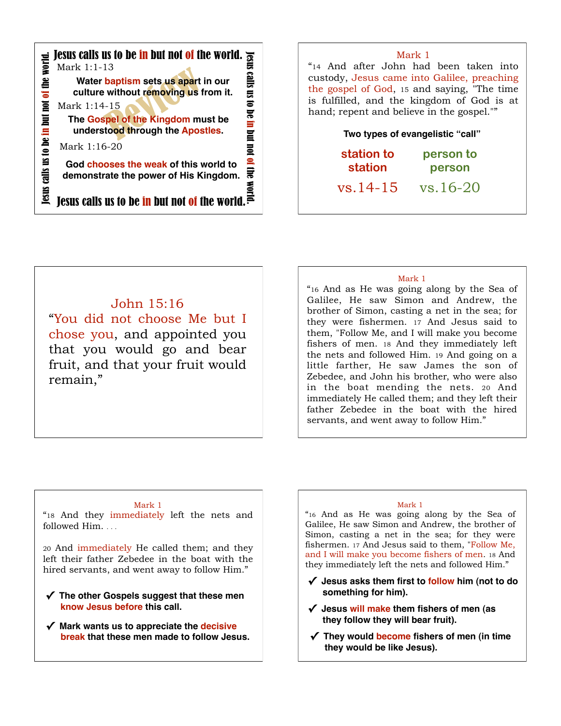

#### Mark 1

"14 And after John had been taken into custody, Jesus came into Galilee, preaching the gospel of God, 15 and saying, "The time is fulfilled, and the kingdom of God is at hand; repent and believe in the gospel.""

#### **Two types of evangelistic "call"**

| station to   | person to         |
|--------------|-------------------|
| station      | person            |
| $78.14 - 15$ | $\frac{16.20}{2}$ |

vs.14-15 vs.16-20

# John 15:16

"You did not choose Me but I chose you, and appointed you that you would go and bear fruit, and that your fruit would remain,"

#### Mark 1

"16 And as He was going along by the Sea of Galilee, He saw Simon and Andrew, the brother of Simon, casting a net in the sea; for they were fishermen. 17 And Jesus said to them, "Follow Me, and I will make you become fishers of men. 18 And they immediately left the nets and followed Him. 19 And going on a little farther, He saw James the son of Zebedee, and John his brother, who were also in the boat mending the nets. 20 And immediately He called them; and they left their father Zebedee in the boat with the hired servants, and went away to follow Him."

#### Mark 1

"18 And they immediately left the nets and followed Him. . . .

20 And immediately He called them; and they left their father Zebedee in the boat with the hired servants, and went away to follow Him."

- **✓ The other Gospels suggest that these men know Jesus before this call.**
- **✓ Mark wants us to appreciate the decisive break that these men made to follow Jesus.**

#### Mark 1

"16 And as He was going along by the Sea of Galilee, He saw Simon and Andrew, the brother of Simon, casting a net in the sea; for they were fishermen. 17 And Jesus said to them, "Follow Me, and I will make you become fishers of men. 18 And they immediately left the nets and followed Him."

- **✓ Jesus asks them first to follow him (not to do something for him).**
- **✓ Jesus will make them fishers of men (as they follow they will bear fruit).**
- **✓ They would become fishers of men (in time they would be like Jesus).**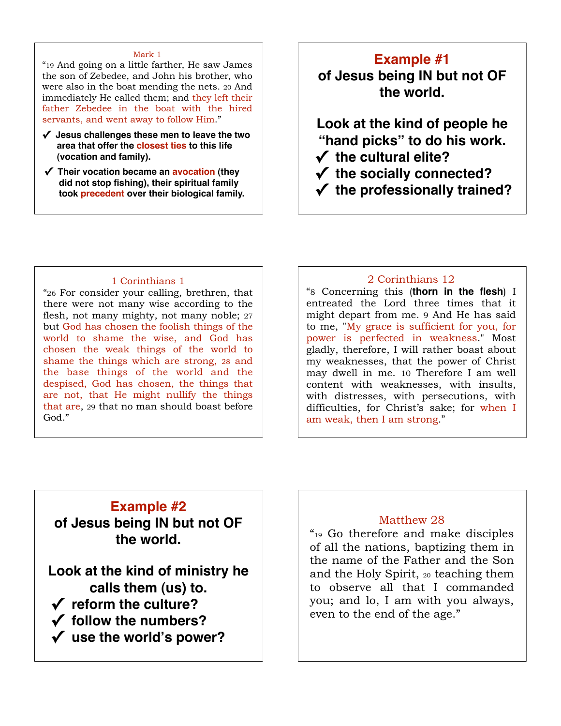#### Mark 1

"19 And going on a little farther, He saw James the son of Zebedee, and John his brother, who were also in the boat mending the nets. 20 And immediately He called them; and they left their father Zebedee in the boat with the hired servants, and went away to follow Him."

- **✓ Jesus challenges these men to leave the two area that offer the closest ties to this life (vocation and family).**
- **✓ Their vocation became an avocation (they did not stop fishing), their spiritual family took precedent over their biological family.**

## **Example #1**

**of Jesus being IN but not OF the world.**

**Look at the kind of people he "hand picks" to do his work. ✓ the cultural elite?**

**✓ the socially connected?** 

# **✓ the professionally trained?**

#### 1 Corinthians 1

"26 For consider your calling, brethren, that there were not many wise according to the flesh, not many mighty, not many noble; 27 but God has chosen the foolish things of the world to shame the wise, and God has chosen the weak things of the world to shame the things which are strong, 28 and the base things of the world and the despised, God has chosen, the things that are not, that He might nullify the things that are, 29 that no man should boast before God<sup>"</sup>

## 2 Corinthians 12

"8 Concerning this (**thorn in the flesh**) I entreated the Lord three times that it might depart from me. 9 And He has said to me, "My grace is sufficient for you, for power is perfected in weakness." Most gladly, therefore, I will rather boast about my weaknesses, that the power of Christ may dwell in me. 10 Therefore I am well content with weaknesses, with insults, with distresses, with persecutions, with difficulties, for Christ's sake; for when I am weak, then I am strong."

## **Example #2**

**of Jesus being IN but not OF the world.**

**Look at the kind of ministry he calls them (us) to. ✓ reform the culture? ✓ follow the numbers?** 

**✓ use the world's power?**

# Matthew 28

"19 Go therefore and make disciples of all the nations, baptizing them in the name of the Father and the Son and the Holy Spirit, 20 teaching them to observe all that I commanded you; and lo, I am with you always, even to the end of the age."